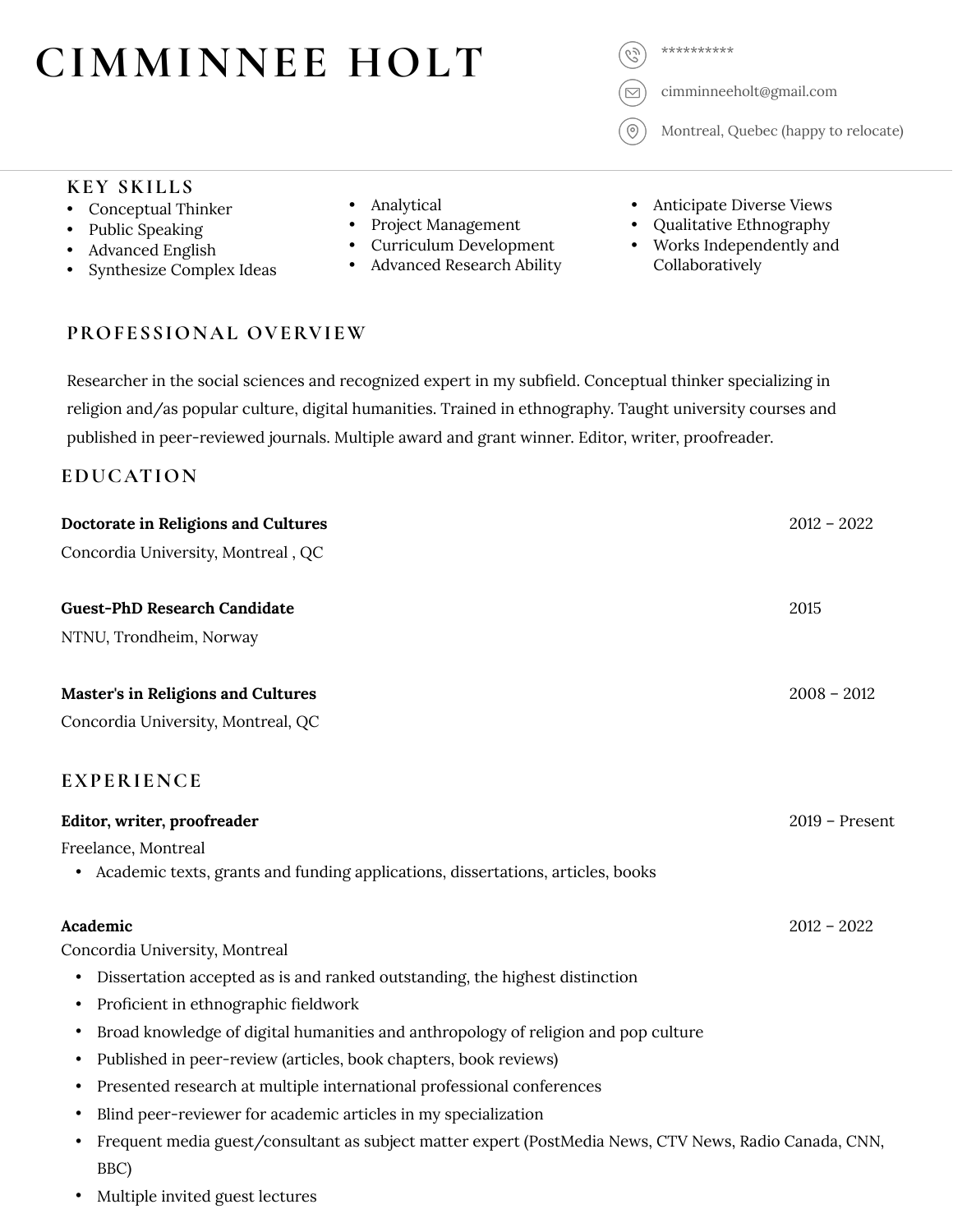# CIMMINNEE HOLT

 $\odot$ 

cimminneeholt@gmail.com

Montreal, Quebec (happy to relocate)

#### **KEY SKILLS**

- Conceptual Thinker
- Public Speaking
- Advanced English
- Synthesize Complex Ideas
- Analytical
- Project Management
- Curriculum Development
- Advanced Research Ability
- Anticipate Diverse Views
- Qualitative Ethnography
- Works Independently and Collaboratively

### **PROFESSIONAL OVERVIEW**

Researcher in the social sciences and recognized expert in my subfield. Conceptual thinker specializing in religion and/as popular culture, digital humanities. Trained in ethnography. Taught university courses and published in peer-reviewed journals. Multiple award and grant winner. Editor, writer, proofreader.

### **EDUCATION**

| Doctorate in Religions and Cultures                                                                         | $2012 - 2022$    |
|-------------------------------------------------------------------------------------------------------------|------------------|
| Concordia University, Montreal, QC                                                                          |                  |
| <b>Guest-PhD Research Candidate</b>                                                                         | 2015             |
| NTNU, Trondheim, Norway                                                                                     |                  |
| Master's in Religions and Cultures                                                                          | $2008 - 2012$    |
| Concordia University, Montreal, QC                                                                          |                  |
| <b>EXPERIENCE</b>                                                                                           |                  |
| Editor, writer, proofreader                                                                                 | $2019$ – Present |
| Freelance, Montreal                                                                                         |                  |
| Academic texts, grants and funding applications, dissertations, articles, books                             |                  |
| Academic                                                                                                    | $2012 - 2022$    |
| Concordia University, Montreal                                                                              |                  |
| Dissertation accepted as is and ranked outstanding, the highest distinction<br>٠                            |                  |
| Proficient in ethnographic fieldwork<br>٠                                                                   |                  |
| Broad knowledge of digital humanities and anthropology of religion and pop culture                          |                  |
| Published in peer-review (articles, book chapters, book reviews)                                            |                  |
| Presented research at multiple international professional conferences                                       |                  |
| Blind peer-reviewer for academic articles in my specialization<br>$\bullet$                                 |                  |
| Frequent media guest/consultant as subject matter expert (PostMedia News, CTV News, Radio Canada, CNN,<br>٠ |                  |
| BBC)                                                                                                        |                  |

• Multiple invited guest lectures

- 
- 
- 
- 
-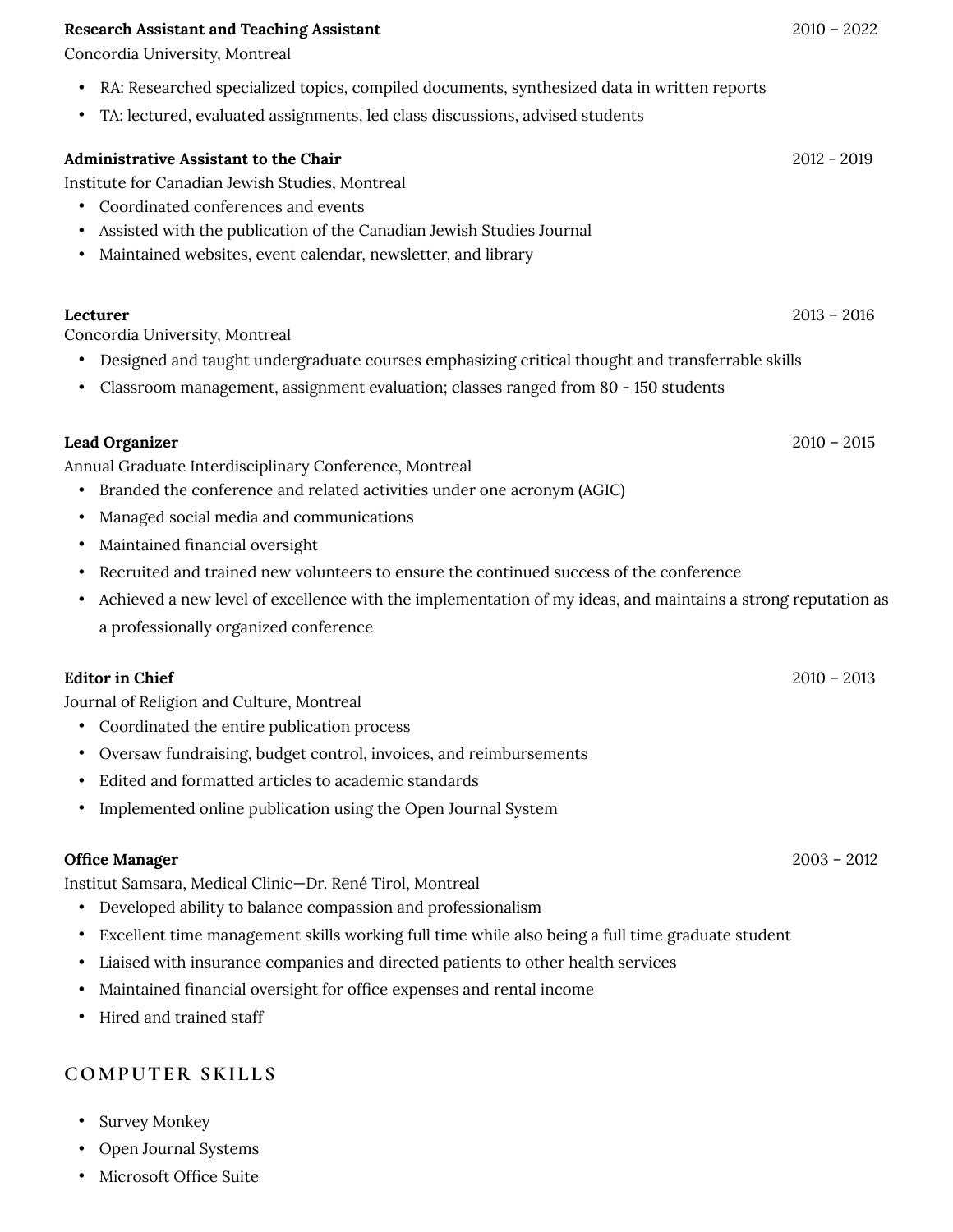#### **Research Assistant and Teaching Assistant** 2010 – 2022

Concordia University, Montreal

- RA: Researched specialized topics, compiled documents, synthesized data in written reports
- TA: lectured, evaluated assignments, led class discussions, advised students

#### **Administrative Assistant to the Chair** 2012 - 2019

Institute for Canadian Jewish Studies, Montreal

- Coordinated conferences and events
- Assisted with the publication of the Canadian Jewish Studies Journal
- Maintained websites, event calendar, newsletter, and library

Concordia University, Montreal

- Designed and taught undergraduate courses emphasizing critical thought and transferrable skills
- Classroom management, assignment evaluation; classes ranged from 80 150 students

#### **Lead Organizer** 2010 – 2015

Annual Graduate Interdisciplinary Conference, Montreal

- Branded the conference and related activities under one acronym (AGIC)
- Managed social media and communications
- Maintained financial oversight
- Recruited and trained new volunteers to ensure the continued success of the conference
- Achieved a new level of excellence with the implementation of my ideas, and maintains a strong reputation as a professionally organized conference

#### **Editor in Chief** 2010 – 2013

Journal of Religion and Culture, Montreal

- Coordinated the entire publication process
- Oversaw fundraising, budget control, invoices, and reimbursements
- Edited and formatted articles to academic standards
- Implemented online publication using the Open Journal System

#### **Office Manager** 2003 – 2012

Institut Samsara, Medical Clinic—Dr. René Tirol, Montreal

- Developed ability to balance compassion and professionalism
- Excellent time management skills working full time while also being a full time graduate student
- Liaised with insurance companies and directed patients to other health services
- Maintained financial oversight for office expenses and rental income
- Hired and trained staff

### **COMPUTER SKILLS**

- Survey Monkey
- Open Journal Systems
- Microsoft Office Suite

**Lecturer** 2013 – 2016